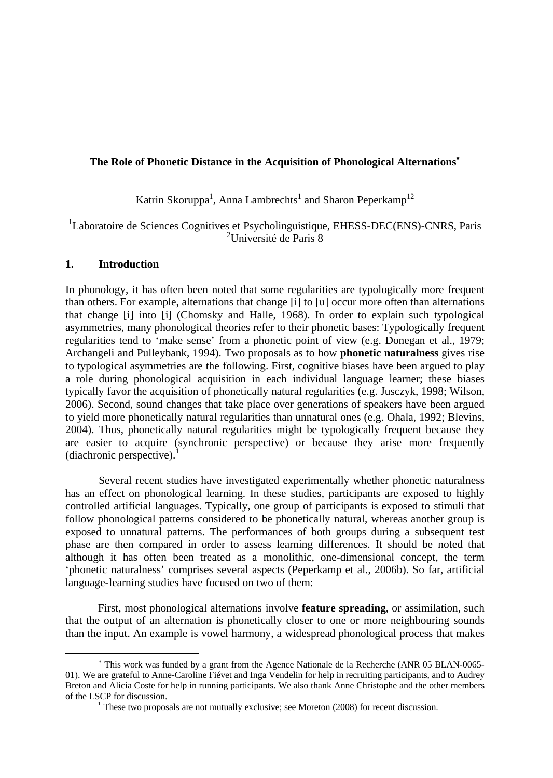## **The Role of Phonetic Distance in the Acquisition of Phonological Alternations<sup>Ä</sup>**

Katrin Skoruppa<sup>1</sup>, Anna Lambrechts<sup>1</sup> and Sharon Peperkamp<sup>12</sup>

<sup>1</sup>Laboratoire de Sciences Cognitives et Psycholinguistique, EHESS-DEC(ENS)-CNRS, Paris <sup>2</sup>Université de Paris 8

## **1. Introduction**

In phonology, it has often been noted that some regularities are typologically more frequent than others. For example, alternations that change [i] to [u] occur more often than alternations that change [i] into [i] (Chomsky and Halle, 1968). In order to explain such typological asymmetries, many phonological theories refer to their phonetic bases: Typologically frequent regularities tend to 'make sense' from a phonetic point of view (e.g. Donegan et al., 1979; Archangeli and Pulleybank, 1994). Two proposals as to how **phonetic naturalness** gives rise to typological asymmetries are the following. First, cognitive biases have been argued to play a role during phonological acquisition in each individual language learner; these biases typically favor the acquisition of phonetically natural regularities (e.g. Jusczyk, 1998; Wilson, 2006). Second, sound changes that take place over generations of speakers have been argued to yield more phonetically natural regularities than unnatural ones (e.g. Ohala, 1992; Blevins, 2004). Thus, phonetically natural regularities might be typologically frequent because they are easier to acquire (synchronic perspective) or because they arise more frequently (diachronic perspective).

Several recent studies have investigated experimentally whether phonetic naturalness has an effect on phonological learning. In these studies, participants are exposed to highly controlled artificial languages. Typically, one group of participants is exposed to stimuli that follow phonological patterns considered to be phonetically natural, whereas another group is exposed to unnatural patterns. The performances of both groups during a subsequent test phase are then compared in order to assess learning differences. It should be noted that although it has often been treated as a monolithic, one-dimensional concept, the term 'phonetic naturalness' comprises several aspects (Peperkamp et al., 2006b). So far, artificial language-learning studies have focused on two of them:

First, most phonological alternations involve **feature spreading**, or assimilation, such that the output of an alternation is phonetically closer to one or more neighbouring sounds than the input. An example is vowel harmony, a widespread phonological process that makes

<sup>Ä</sup> This work was funded by a grant from the Agence Nationale de la Recherche (ANR 05 BLAN-0065- 01). We are grateful to Anne-Caroline Fiévet and Inga Vendelin for help in recruiting participants, and to Audrey Breton and Alicia Coste for help in running participants. We also thank Anne Christophe and the other members of the LSCP for discussion.

 $1$  These two proposals are not mutually exclusive; see Moreton (2008) for recent discussion.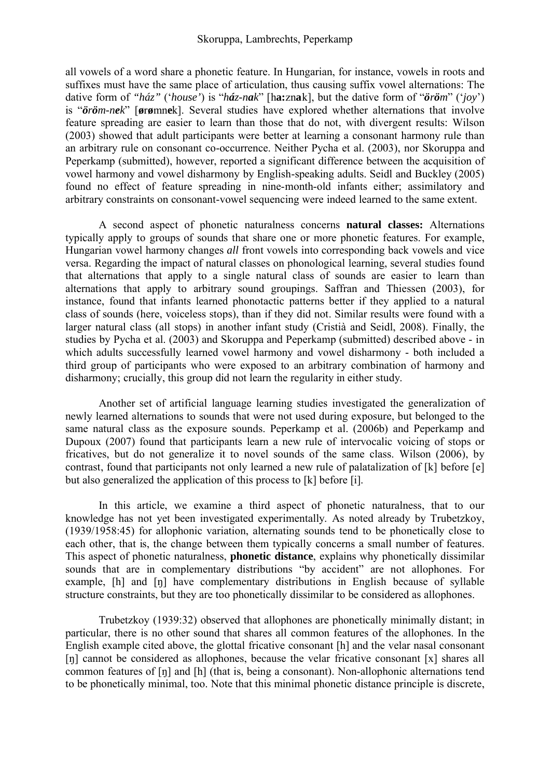all vowels of a word share a phonetic feature. In Hungarian, for instance, vowels in roots and suffixes must have the same place of articulation, thus causing suffix vowel alternations: The dative form of " $h\acute{a}z$ " ('house') is " $h\acute{a}z$ -nak'' [ha:znak], but the dative form of " $\ddot{o}r\ddot{o}m$ " (' $joy'$ ) is " $\ddot{\sigma}$ *r* $\ddot{\sigma}$ *m-nek*" [ $\ddot{\sigma}$ r $\dot{\sigma}$ mnek]. Several studies have explored whether alternations that involve feature spreading are easier to learn than those that do not, with divergent results: Wilson (2003) showed that adult participants were better at learning a consonant harmony rule than an arbitrary rule on consonant co-occurrence. Neither Pycha et al. (2003), nor Skoruppa and Peperkamp (submitted), however, reported a significant difference between the acquisition of vowel harmony and vowel disharmony by English-speaking adults. Seidl and Buckley (2005) found no effect of feature spreading in nine-month-old infants either; assimilatory and arbitrary constraints on consonant-vowel sequencing were indeed learned to the same extent.

A second aspect of phonetic naturalness concerns **natural classes:** Alternations typically apply to groups of sounds that share one or more phonetic features. For example, Hungarian vowel harmony changes *all* front vowels into corresponding back vowels and vice versa. Regarding the impact of natural classes on phonological learning, several studies found that alternations that apply to a single natural class of sounds are easier to learn than alternations that apply to arbitrary sound groupings. Saffran and Thiessen (2003), for instance, found that infants learned phonotactic patterns better if they applied to a natural class of sounds (here, voiceless stops), than if they did not. Similar results were found with a larger natural class (all stops) in another infant study (Cristià and Seidl, 2008). Finally, the studies by Pycha et al. (2003) and Skoruppa and Peperkamp (submitted) described above - in which adults successfully learned vowel harmony and vowel disharmony - both included a third group of participants who were exposed to an arbitrary combination of harmony and disharmony; crucially, this group did not learn the regularity in either study.

Another set of artificial language learning studies investigated the generalization of newly learned alternations to sounds that were not used during exposure, but belonged to the same natural class as the exposure sounds. Peperkamp et al. (2006b) and Peperkamp and Dupoux (2007) found that participants learn a new rule of intervocalic voicing of stops or fricatives, but do not generalize it to novel sounds of the same class. Wilson (2006), by contrast, found that participants not only learned a new rule of palatalization of [k] before [e] but also generalized the application of this process to [k] before [i].

In this article, we examine a third aspect of phonetic naturalness, that to our knowledge has not yet been investigated experimentally. As noted already by Trubetzkoy, (1939/1958:45) for allophonic variation, alternating sounds tend to be phonetically close to each other, that is, the change between them typically concerns a small number of features. This aspect of phonetic naturalness, **phonetic distance**, explains why phonetically dissimilar sounds that are in complementary distributions "by accident" are not allophones. For example, [h] and [n] have complementary distributions in English because of syllable structure constraints, but they are too phonetically dissimilar to be considered as allophones.

Trubetzkoy (1939:32) observed that allophones are phonetically minimally distant; in particular, there is no other sound that shares all common features of the allophones. In the English example cited above, the glottal fricative consonant [h] and the velar nasal consonant  $[n]$  cannot be considered as allophones, because the velar fricative consonant  $[x]$  shares all common features of [n] and [h] (that is, being a consonant). Non-allophonic alternations tend to be phonetically minimal, too. Note that this minimal phonetic distance principle is discrete,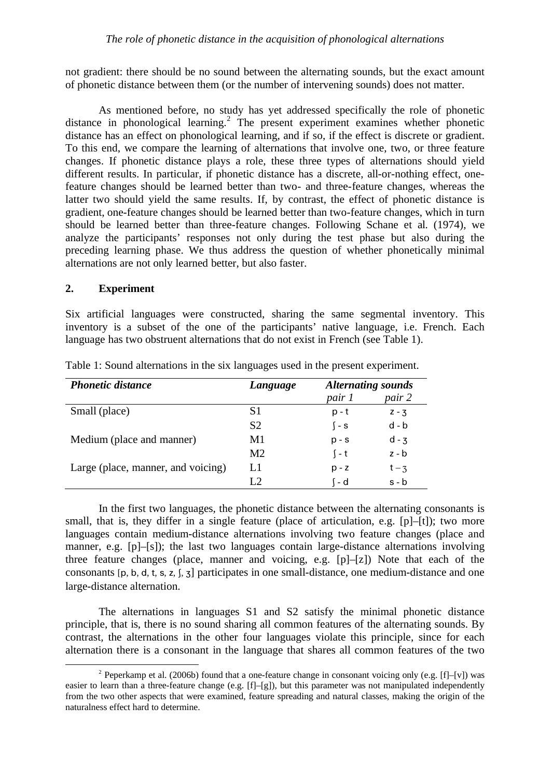not gradient: there should be no sound between the alternating sounds, but the exact amount of phonetic distance between them (or the number of intervening sounds) does not matter.

As mentioned before, no study has yet addressed specifically the role of phonetic distance in phonological learning.<sup>2</sup> The present experiment examines whether phonetic distance has an effect on phonological learning, and if so, if the effect is discrete or gradient. To this end, we compare the learning of alternations that involve one, two, or three feature changes. If phonetic distance plays a role, these three types of alternations should yield different results. In particular, if phonetic distance has a discrete, all-or-nothing effect, onefeature changes should be learned better than two- and three-feature changes, whereas the latter two should yield the same results. If, by contrast, the effect of phonetic distance is gradient, one-feature changes should be learned better than two-feature changes, which in turn should be learned better than three-feature changes. Following Schane et al. (1974), we analyze the participants' responses not only during the test phase but also during the preceding learning phase. We thus address the question of whether phonetically minimal alternations are not only learned better, but also faster.

## **2. Experiment**

Six artificial languages were constructed, sharing the same segmental inventory. This inventory is a subset of the one of the participants' native language, i.e. French. Each language has two obstruent alternations that do not exist in French (see Table 1).

| <b>Phonetic distance</b>           | Language       | <b>Alternating sounds</b> |         |
|------------------------------------|----------------|---------------------------|---------|
|                                    |                | pair 1                    | pair 2  |
| Small (place)                      | S <sub>1</sub> | p - t                     | $Z - 3$ |
|                                    | S <sub>2</sub> | $\sqrt{-}$ S              | $d - b$ |
| Medium (place and manner)          | M1             | $p - s$                   | $d - 3$ |
|                                    | M <sub>2</sub> | $\int -t$                 | $z - b$ |
| Large (place, manner, and voicing) | L1             | $p - z$                   | $t - 3$ |
|                                    | L2             | 1 - d                     | $s - b$ |

Table 1: Sound alternations in the six languages used in the present experiment.

In the first two languages, the phonetic distance between the alternating consonants is small, that is, they differ in a single feature (place of articulation, e.g. [p]–[t]); two more languages contain medium-distance alternations involving two feature changes (place and manner, e.g. [p]–[s]); the last two languages contain large-distance alternations involving three feature changes (place, manner and voicing, e.g. [p]–[z]) Note that each of the consonants  $[p, b, d, t, s, z]$ ,  $[\bar{x}]$  participates in one small-distance, one medium-distance and one large-distance alternation.

The alternations in languages S1 and S2 satisfy the minimal phonetic distance principle, that is, there is no sound sharing all common features of the alternating sounds. By contrast, the alternations in the other four languages violate this principle, since for each alternation there is a consonant in the language that shares all common features of the two

<sup>&</sup>lt;sup>2</sup> Peperkamp et al. (2006b) found that a one-feature change in consonant voicing only (e.g.  $[f]-[v]$ ) was easier to learn than a three-feature change (e.g. [f]–[g]), but this parameter was not manipulated independently from the two other aspects that were examined, feature spreading and natural classes, making the origin of the naturalness effect hard to determine.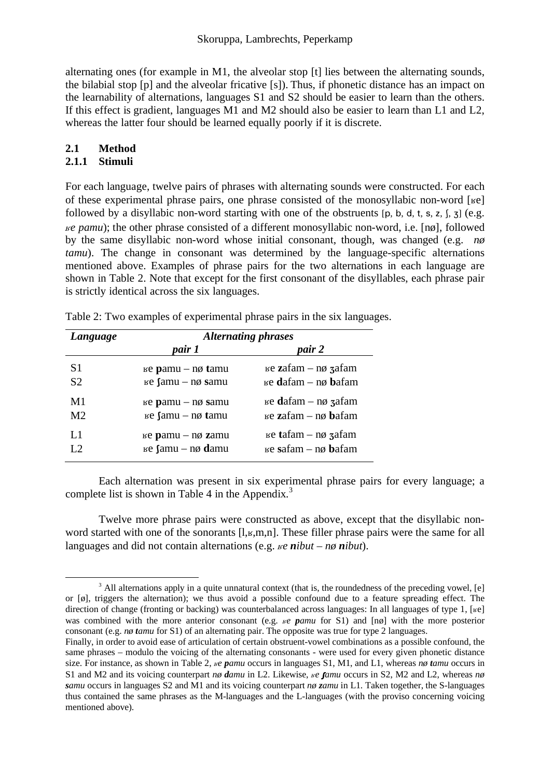alternating ones (for example in M1, the alveolar stop [t] lies between the alternating sounds, the bilabial stop [p] and the alveolar fricative [s]). Thus, if phonetic distance has an impact on the learnability of alternations, languages S1 and S2 should be easier to learn than the others. If this effect is gradient, languages M1 and M2 should also be easier to learn than L1 and L2, whereas the latter four should be learned equally poorly if it is discrete.

## **2.1 Method**

## **2.1.1 Stimuli**

For each language, twelve pairs of phrases with alternating sounds were constructed. For each of these experimental phrase pairs, one phrase consisted of the monosyllabic non-word [ $\text{ke}$ ] followed by a disyllabic non-word starting with one of the obstruents  $[p, b, d, t, s, z, \frac{z}{n}, \frac{z}{n}]$  (e.g. *Äe pamu*); the other phrase consisted of a different monosyllabic non-word, i.e. [nø], followed by the same disyllabic non-word whose initial consonant, though, was changed (e.g. *nø tamu*). The change in consonant was determined by the language-specific alternations mentioned above. Examples of phrase pairs for the two alternations in each language are shown in Table 2. Note that except for the first consonant of the disyllables, each phrase pair is strictly identical across the six languages.

| Language             | <b>Alternating phrases</b>                                           |                                                                                                                                                                                                                                                                                                                                      |  |  |
|----------------------|----------------------------------------------------------------------|--------------------------------------------------------------------------------------------------------------------------------------------------------------------------------------------------------------------------------------------------------------------------------------------------------------------------------------|--|--|
|                      | pair 1                                                               | pair 2                                                                                                                                                                                                                                                                                                                               |  |  |
| S <sub>1</sub>       | $E$ is $p$ pamu – n $\phi$ tamu                                      | $\mu$ e zafam – n $\phi$ zafam                                                                                                                                                                                                                                                                                                       |  |  |
| S <sub>2</sub><br>M1 | $E$ samu – n $\phi$ samu<br>$E$ pamu – n $\phi$ samu                 | $E$ is equal term $-\eta\phi$ zafam                                                                                                                                                                                                                                                                                                  |  |  |
| M <sub>2</sub><br>L1 | $E$ se $\int$ amu – n $\phi$ tamu<br>$E$ is $p$ pamu – n $\phi$ zamu | $E$ is example $\mathbf{z}$ at $\mathbf{z}$ at $\mathbf{z}$ at $\mathbf{z}$ at $\mathbf{z}$ at $\mathbf{z}$ at $\mathbf{z}$ at $\mathbf{z}$ at $\mathbf{z}$ at $\mathbf{z}$ at $\mathbf{z}$ at $\mathbf{z}$ at $\mathbf{z}$ at $\mathbf{z}$ at $\mathbf{z}$ at $\mathbf{z}$ at $\mathbf{z}$ at $\$<br>$E$ is ta fam – n $\phi$ zafam |  |  |
| L2                   | $E$ se $\int$ amu – n $\phi$ damu                                    | $E$ is ested to $\eta$ bafam                                                                                                                                                                                                                                                                                                         |  |  |

Table 2: Two examples of experimental phrase pairs in the six languages.

Each alternation was present in six experimental phrase pairs for every language; a complete list is shown in Table 4 in the Appendix. $3$ 

Twelve more phrase pairs were constructed as above, except that the disyllabic nonword started with one of the sonorants  $[I_{k},m,n]$ . These filler phrase pairs were the same for all languages and did not contain alternations (e.g.  $\mathcal{R}e$  *nibut* –  $\mathcal{R}p$  *nibut*).

 $3$  All alternations apply in a quite unnatural context (that is, the roundedness of the preceding vowel, [e] or [ø], triggers the alternation); we thus avoid a possible confound due to a feature spreading effect. The direction of change (fronting or backing) was counterbalanced across languages: In all languages of type 1, [ $\kappa$ e] was combined with the more anterior consonant (e.g.  $\mu e$  *pamu* for S1) and [nø] with the more posterior consonant (e.g. *nø tamu* for S1) of an alternating pair. The opposite was true for type 2 languages.

Finally, in order to avoid ease of articulation of certain obstruent-vowel combinations as a possible confound, the same phrases – modulo the voicing of the alternating consonants - were used for every given phonetic distance size. For instance, as shown in Table 2,  $\mu$ *e pamu* occurs in languages S1, M1, and L1, whereas *nø tamu* occurs in S1 and M2 and its voicing counterpart *nø damu* in L2. Likewise,  $\mu e$  *famu* occurs in S2, M2 and L2, whereas  $n\phi$ *samu* occurs in languages S2 and M1 and its voicing counterpart *nø zamu* in L1. Taken together, the S-languages thus contained the same phrases as the M-languages and the L-languages (with the proviso concerning voicing mentioned above).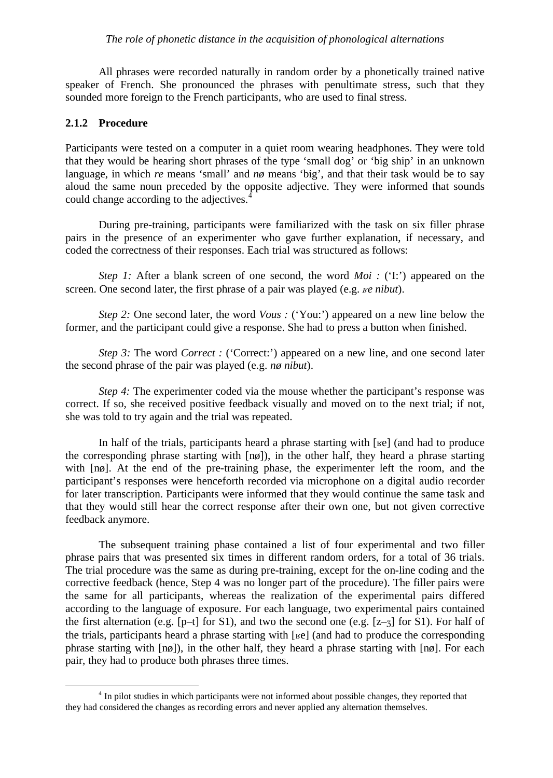#### *The role of phonetic distance in the acquisition of phonological alternations*

All phrases were recorded naturally in random order by a phonetically trained native speaker of French. She pronounced the phrases with penultimate stress, such that they sounded more foreign to the French participants, who are used to final stress.

## **2.1.2 Procedure**

Participants were tested on a computer in a quiet room wearing headphones. They were told that they would be hearing short phrases of the type 'small dog' or 'big ship' in an unknown language, in which *re* means 'small' and *nø* means 'big', and that their task would be to say aloud the same noun preceded by the opposite adjective. They were informed that sounds could change according to the adjectives.<sup>4</sup>

During pre-training, participants were familiarized with the task on six filler phrase pairs in the presence of an experimenter who gave further explanation, if necessary, and coded the correctness of their responses. Each trial was structured as follows:

*Step 1:* After a blank screen of one second, the word *Moi :* ('I:') appeared on the screen. One second later, the first phrase of a pair was played (e.g. *Ke nibut*).

*Step 2:* One second later, the word *Vous :* ('You:') appeared on a new line below the former, and the participant could give a response. She had to press a button when finished.

*Step 3:* The word *Correct* : ('Correct:') appeared on a new line, and one second later the second phrase of the pair was played (e.g. *nø nibut*).

*Step 4:* The experimenter coded via the mouse whether the participant's response was correct. If so, she received positive feedback visually and moved on to the next trial; if not, she was told to try again and the trial was repeated.

In half of the trials, participants heard a phrase starting with  $[\kappa e]$  (and had to produce the corresponding phrase starting with [nø]), in the other half, they heard a phrase starting with  $\lceil n\varphi \rceil$ . At the end of the pre-training phase, the experimenter left the room, and the participant's responses were henceforth recorded via microphone on a digital audio recorder for later transcription. Participants were informed that they would continue the same task and that they would still hear the correct response after their own one, but not given corrective feedback anymore.

The subsequent training phase contained a list of four experimental and two filler phrase pairs that was presented six times in different random orders, for a total of 36 trials. The trial procedure was the same as during pre-training, except for the on-line coding and the corrective feedback (hence, Step 4 was no longer part of the procedure). The filler pairs were the same for all participants, whereas the realization of the experimental pairs differed according to the language of exposure. For each language, two experimental pairs contained the first alternation (e.g.  $[p-1]$  for S1), and two the second one (e.g.  $[z-3]$  for S1). For half of the trials, participants heard a phrase starting with  $[\kappa$ e] (and had to produce the corresponding phrase starting with [nø]), in the other half, they heard a phrase starting with [nø]. For each pair, they had to produce both phrases three times.

<sup>&</sup>lt;sup>4</sup> In pilot studies in which participants were not informed about possible changes, they reported that they had considered the changes as recording errors and never applied any alternation themselves.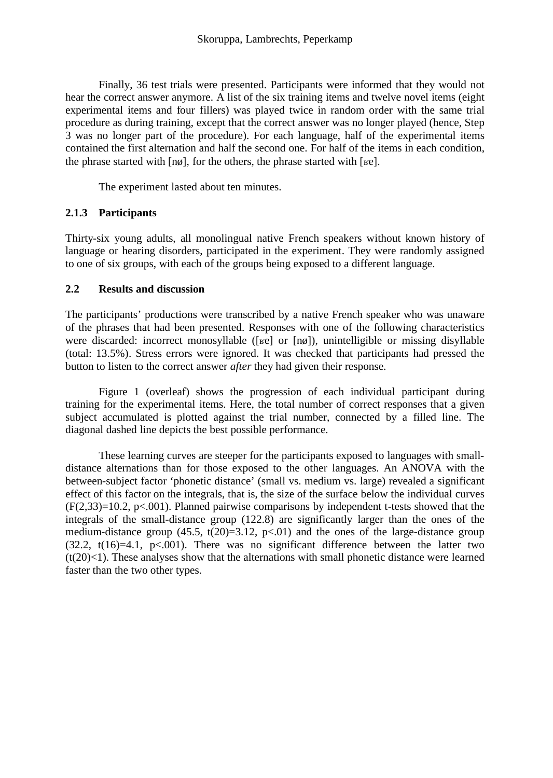Finally, 36 test trials were presented. Participants were informed that they would not hear the correct answer anymore. A list of the six training items and twelve novel items (eight experimental items and four fillers) was played twice in random order with the same trial procedure as during training, except that the correct answer was no longer played (hence, Step 3 was no longer part of the procedure). For each language, half of the experimental items contained the first alternation and half the second one. For half of the items in each condition, the phrase started with  $[n\phi]$ , for the others, the phrase started with [ $k\phi$ ].

The experiment lasted about ten minutes.

## **2.1.3 Participants**

Thirty-six young adults, all monolingual native French speakers without known history of language or hearing disorders, participated in the experiment. They were randomly assigned to one of six groups, with each of the groups being exposed to a different language.

## **2.2 Results and discussion**

The participants' productions were transcribed by a native French speaker who was unaware of the phrases that had been presented. Responses with one of the following characteristics were discarded: incorrect monosyllable ([ $\kappa$ e] or [ $\eta$ ø]), unintelligible or missing disyllable (total: 13.5%). Stress errors were ignored. It was checked that participants had pressed the button to listen to the correct answer *after* they had given their response.

Figure 1 (overleaf) shows the progression of each individual participant during training for the experimental items. Here, the total number of correct responses that a given subject accumulated is plotted against the trial number, connected by a filled line. The diagonal dashed line depicts the best possible performance.

These learning curves are steeper for the participants exposed to languages with smalldistance alternations than for those exposed to the other languages. An ANOVA with the between-subject factor 'phonetic distance' (small vs. medium vs. large) revealed a significant effect of this factor on the integrals, that is, the size of the surface below the individual curves  $(F(2,33)=10.2, p<.001)$ . Planned pairwise comparisons by independent t-tests showed that the integrals of the small-distance group (122.8) are significantly larger than the ones of the medium-distance group  $(45.5, t(20)=3.12, p<0.01)$  and the ones of the large-distance group (32.2,  $t(16)=4.1$ ,  $p<.001$ ). There was no significant difference between the latter two  $(t(20) < 1)$ . These analyses show that the alternations with small phonetic distance were learned faster than the two other types.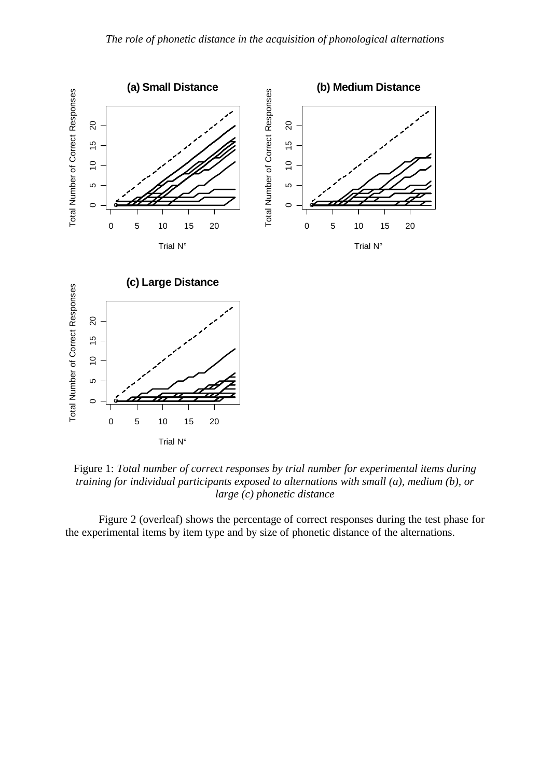

Figure 1: *Total number of correct responses by trial number for experimental items during training for individual participants exposed to alternations with small (a), medium (b), or large (c) phonetic distance*

Figure 2 (overleaf) shows the percentage of correct responses during the test phase for the experimental items by item type and by size of phonetic distance of the alternations.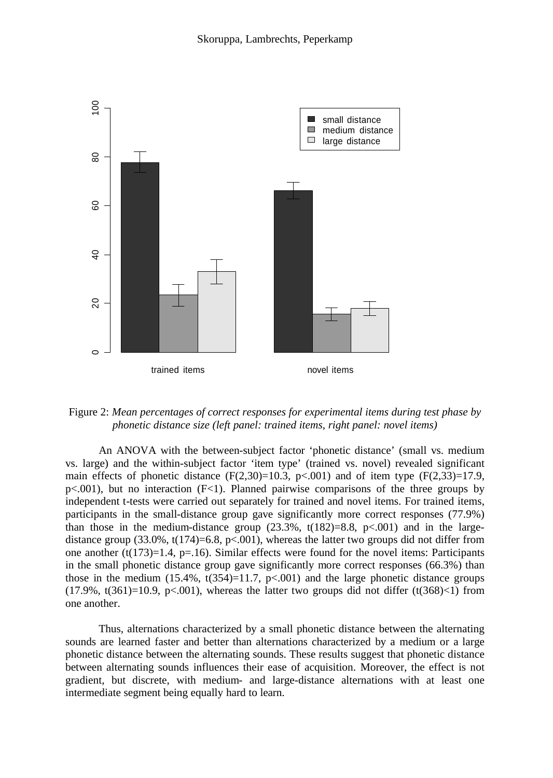

Figure 2: *Mean percentages of correct responses for experimental items during test phase by phonetic distance size (left panel: trained items, right panel: novel items)*

An ANOVA with the between-subject factor 'phonetic distance' (small vs. medium vs. large) and the within-subject factor 'item type' (trained vs. novel) revealed significant main effects of phonetic distance  $(F(2,30)=10.3, p<0.001)$  and of item type  $(F(2,33)=17.9,$  $p<.001$ ), but no interaction ( $F<1$ ). Planned pairwise comparisons of the three groups by independent t-tests were carried out separately for trained and novel items. For trained items, participants in the small-distance group gave significantly more correct responses (77.9%) than those in the medium-distance group  $(23.3\%), t(182)=8.8, p<.001$  and in the largedistance group  $(33.0\%, t(174)=6.8, p<.001)$ , whereas the latter two groups did not differ from one another (t(173)=1.4, p=.16). Similar effects were found for the novel items: Participants in the small phonetic distance group gave significantly more correct responses (66.3%) than those in the medium  $(15.4\%, t(354)=11.7, p<.001)$  and the large phonetic distance groups  $(17.9\%, t(361)=10.9, p<.001)$ , whereas the latter two groups did not differ  $(t(368)\lt1)$  from one another.

Thus, alternations characterized by a small phonetic distance between the alternating sounds are learned faster and better than alternations characterized by a medium or a large phonetic distance between the alternating sounds. These results suggest that phonetic distance between alternating sounds influences their ease of acquisition. Moreover, the effect is not gradient, but discrete, with medium- and large-distance alternations with at least one intermediate segment being equally hard to learn.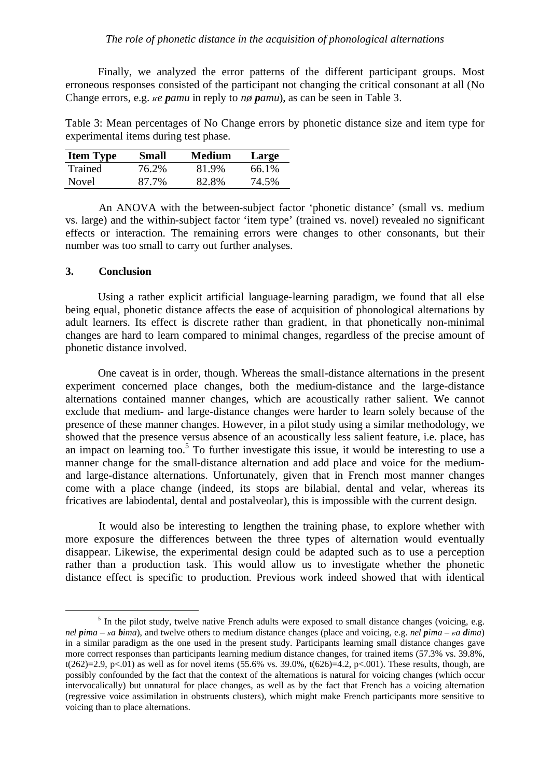Finally, we analyzed the error patterns of the different participant groups. Most erroneous responses consisted of the participant not changing the critical consonant at all (No Change errors, e.g. *ke pamu* in reply to *nø pamu*), as can be seen in Table 3.

Table 3: Mean percentages of No Change errors by phonetic distance size and item type for experimental items during test phase.

| <b>Item Type</b> | Small | Medium | Large |
|------------------|-------|--------|-------|
| Trained          | 76.2% | 81.9%  | 66.1% |
| Novel            | 87.7% | 82.8%  | 74.5% |

An ANOVA with the between-subject factor 'phonetic distance' (small vs. medium vs. large) and the within-subject factor 'item type' (trained vs. novel) revealed no significant effects or interaction. The remaining errors were changes to other consonants, but their number was too small to carry out further analyses.

## **3. Conclusion**

Using a rather explicit artificial language-learning paradigm, we found that all else being equal, phonetic distance affects the ease of acquisition of phonological alternations by adult learners. Its effect is discrete rather than gradient, in that phonetically non-minimal changes are hard to learn compared to minimal changes, regardless of the precise amount of phonetic distance involved.

One caveat is in order, though. Whereas the small-distance alternations in the present experiment concerned place changes, both the medium-distance and the large-distance alternations contained manner changes, which are acoustically rather salient. We cannot exclude that medium- and large-distance changes were harder to learn solely because of the presence of these manner changes. However, in a pilot study using a similar methodology, we showed that the presence versus absence of an acoustically less salient feature, i.e. place, has an impact on learning too.<sup>5</sup> To further investigate this issue, it would be interesting to use a manner change for the small-distance alternation and add place and voice for the mediumand large-distance alternations. Unfortunately, given that in French most manner changes come with a place change (indeed, its stops are bilabial, dental and velar, whereas its fricatives are labiodental, dental and postalveolar), this is impossible with the current design.

It would also be interesting to lengthen the training phase, to explore whether with more exposure the differences between the three types of alternation would eventually disappear. Likewise, the experimental design could be adapted such as to use a perception rather than a production task. This would allow us to investigate whether the phonetic distance effect is specific to production. Previous work indeed showed that with identical

<sup>&</sup>lt;sup>5</sup> In the pilot study, twelve native French adults were exposed to small distance changes (voicing, e.g. *nel*  $\vec{p}$ *ima* –  $\vec{p}$  *a*  $\vec{p}$ *ima*), and twelve others to medium distance changes (place and voicing, e.g. *nel*  $\vec{p}$ *ima* –  $\vec{p}$  *a*  $\vec{q}$ *ima*) in a similar paradigm as the one used in the present study. Participants learning small distance changes gave more correct responses than participants learning medium distance changes, for trained items (57.3% vs. 39.8%, t(262)=2.9, p<.01) as well as for novel items (55.6% vs. 39.0%, t(626)=4.2, p<.001). These results, though, are possibly confounded by the fact that the context of the alternations is natural for voicing changes (which occur intervocalically) but unnatural for place changes, as well as by the fact that French has a voicing alternation (regressive voice assimilation in obstruents clusters), which might make French participants more sensitive to voicing than to place alternations.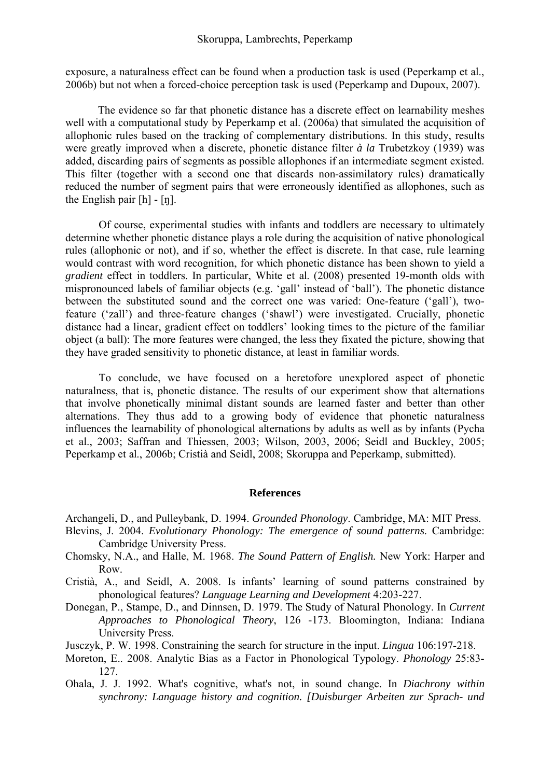#### Skoruppa, Lambrechts, Peperkamp

exposure, a naturalness effect can be found when a production task is used (Peperkamp et al., 2006b) but not when a forced-choice perception task is used (Peperkamp and Dupoux, 2007).

The evidence so far that phonetic distance has a discrete effect on learnability meshes well with a computational study by Peperkamp et al. (2006a) that simulated the acquisition of allophonic rules based on the tracking of complementary distributions. In this study, results were greatly improved when a discrete, phonetic distance filter *à la* Trubetzkoy (1939) was added, discarding pairs of segments as possible allophones if an intermediate segment existed. This filter (together with a second one that discards non-assimilatory rules) dramatically reduced the number of segment pairs that were erroneously identified as allophones, such as the English pair  $[h]$  -  $[n]$ .

Of course, experimental studies with infants and toddlers are necessary to ultimately determine whether phonetic distance plays a role during the acquisition of native phonological rules (allophonic or not), and if so, whether the effect is discrete. In that case, rule learning would contrast with word recognition, for which phonetic distance has been shown to yield a *gradient* effect in toddlers. In particular, White et al. (2008) presented 19-month olds with mispronounced labels of familiar objects (e.g. 'gall' instead of 'ball'). The phonetic distance between the substituted sound and the correct one was varied: One-feature ('gall'), twofeature ('zall') and three-feature changes ('shawl') were investigated. Crucially, phonetic distance had a linear, gradient effect on toddlers' looking times to the picture of the familiar object (a ball): The more features were changed, the less they fixated the picture, showing that they have graded sensitivity to phonetic distance, at least in familiar words.

To conclude, we have focused on a heretofore unexplored aspect of phonetic naturalness, that is, phonetic distance. The results of our experiment show that alternations that involve phonetically minimal distant sounds are learned faster and better than other alternations. They thus add to a growing body of evidence that phonetic naturalness influences the learnability of phonological alternations by adults as well as by infants (Pycha et al., 2003; Saffran and Thiessen, 2003; Wilson, 2003, 2006; Seidl and Buckley, 2005; Peperkamp et al., 2006b; Cristià and Seidl, 2008; Skoruppa and Peperkamp, submitted).

#### **References**

Archangeli, D., and Pulleybank, D. 1994. *Grounded Phonology*. Cambridge, MA: MIT Press.

- Blevins, J. 2004. *Evolutionary Phonology: The emergence of sound patterns*. Cambridge: Cambridge University Press.
- Chomsky, N.A., and Halle, M. 1968. *The Sound Pattern of English.* New York: Harper and Row.
- Cristià, A., and Seidl, A. 2008. Is infants' learning of sound patterns constrained by phonological features? *Language Learning and Development* 4:203-227.
- Donegan, P., Stampe, D., and Dinnsen, D. 1979. The Study of Natural Phonology. In *Current Approaches to Phonological Theory*, 126 -173. Bloomington, Indiana: Indiana University Press.

Jusczyk, P. W. 1998. Constraining the search for structure in the input. *Lingua* 106:197-218.

- Moreton, E.. 2008. Analytic Bias as a Factor in Phonological Typology. *Phonology* 25:83- 127.
- Ohala, J. J. 1992. What's cognitive, what's not, in sound change. In *Diachrony within synchrony: Language history and cognition. [Duisburger Arbeiten zur Sprach- und*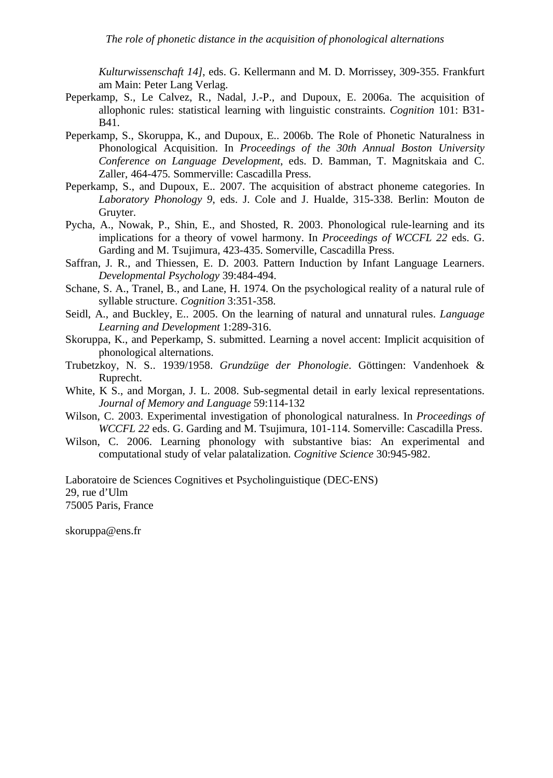*Kulturwissenschaft 14]*, eds. G. Kellermann and M. D. Morrissey, 309-355. Frankfurt am Main: Peter Lang Verlag.

- Peperkamp, S., Le Calvez, R., Nadal, J.-P., and Dupoux, E. 2006a. The acquisition of allophonic rules: statistical learning with linguistic constraints. *Cognition* 101: B31- B41.
- Peperkamp, S., Skoruppa, K., and Dupoux, E.. 2006b. The Role of Phonetic Naturalness in Phonological Acquisition. In *Proceedings of the 30th Annual Boston University Conference on Language Development*, eds. D. Bamman, T. Magnitskaia and C. Zaller, 464-475. Sommerville: Cascadilla Press.
- Peperkamp, S., and Dupoux, E.. 2007. The acquisition of abstract phoneme categories. In *Laboratory Phonology 9*, eds. J. Cole and J. Hualde, 315-338. Berlin: Mouton de Gruyter.
- Pycha, A., Nowak, P., Shin, E., and Shosted, R. 2003. Phonological rule-learning and its implications for a theory of vowel harmony. In *Proceedings of WCCFL 22* eds. G. Garding and M. Tsujimura, 423-435. Somerville, Cascadilla Press.
- Saffran, J. R., and Thiessen, E. D. 2003. Pattern Induction by Infant Language Learners. *Developmental Psychology* 39:484-494.
- Schane, S. A., Tranel, B., and Lane, H. 1974. On the psychological reality of a natural rule of syllable structure. *Cognition* 3:351-358.
- Seidl, A., and Buckley, E.. 2005. On the learning of natural and unnatural rules. *Language Learning and Development* 1:289-316.
- Skoruppa, K., and Peperkamp, S. submitted. Learning a novel accent: Implicit acquisition of phonological alternations.
- Trubetzkoy, N. S.. 1939/1958. *Grundzüge der Phonologie*. Göttingen: Vandenhoek & Ruprecht.
- White, K S., and Morgan, J. L. 2008. Sub-segmental detail in early lexical representations. *Journal of Memory and Language* 59:114-132
- Wilson, C. 2003. Experimental investigation of phonological naturalness. In *Proceedings of WCCFL 22* eds. G. Garding and M. Tsujimura, 101-114. Somerville: Cascadilla Press.
- Wilson, C. 2006. Learning phonology with substantive bias: An experimental and computational study of velar palatalization. *Cognitive Science* 30:945-982.

Laboratoire de Sciences Cognitives et Psycholinguistique (DEC-ENS) 29, rue d'Ulm 75005 Paris, France

skoruppa@ens.fr